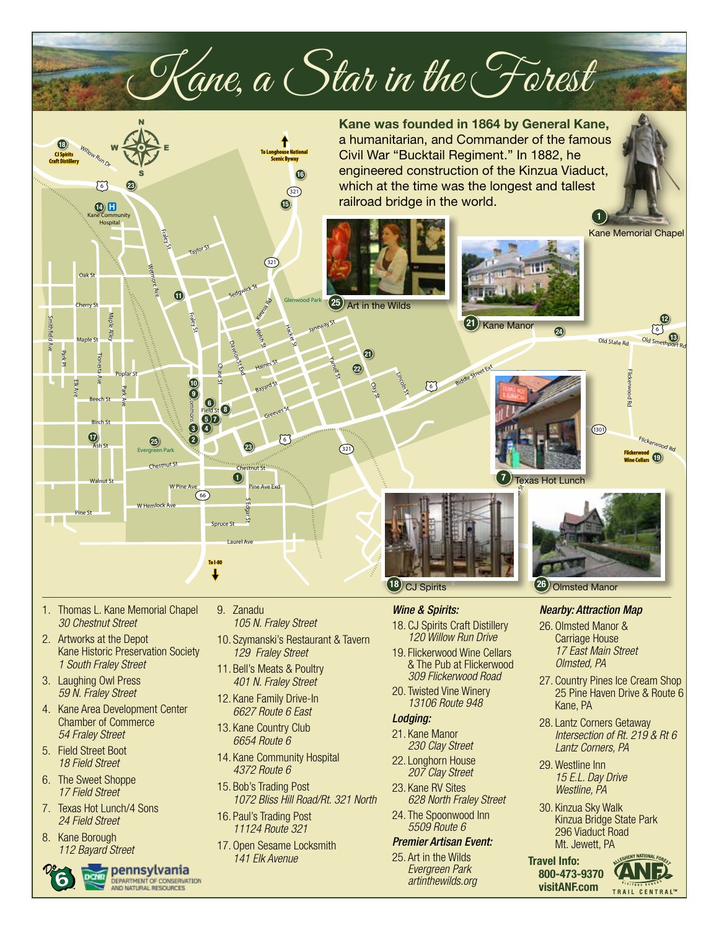

- *30 Chestnut Street*
- 2. Artworks at the Depot Kane Historic Preservation Society *1 South Fraley Street*
- 3. Laughing Owl Press *59 N. Fraley Street*
- 4. Kane Area Development Center Chamber of Commerce *54 Fraley Street*
- 5. Field Street Boot *18 Field Street*
- 6. The Sweet Shoppe *17 Field Street*
- 7. Texas Hot Lunch/4 Sons *24 Field Street*
- 8. Kane Borough *112 Bayard Street*
- pennsylvania DEPARTMENT OF CONSERVATION б
- *105 N. Fraley Street*
- 10. Szymanski's Restaurant & Tavern *129 Fraley Street*
- 11. Bell's Meats & Poultry *401 N. Fraley Street*
- 12. Kane Family Drive-In *6627 Route 6 East*
- 13. Kane Country Club *6654 Route 6*
- 14. Kane Community Hospital *4372 Route 6*
- 15. Bob's Trading Post *1072 Bliss Hill Road/Rt. 321 North*
- 16. Paul's Trading Post *11124 Route 321*
- 17. Open Sesame Locksmith *141 Elk Avenue*

- 18. CJ Spirits Craft Distillery *120 Willow Run Drive*
- 19. Flickerwood Wine Cellars & The Pub at Flickerwood *309 Flickerwood Road*
- 20. Twisted Vine Winery *13106 Route 948*

## *Lodging:*

- 21. Kane Manor *230 Clay Street*
- 22. Longhorn House *207 Clay Street*
- 23. Kane RV Sites *628 North Fraley Street*
- 24. The Spoonwood Inn *5509 Route 6*

## *Premier Artisan Event:*

25. Art in the Wilds *Evergreen Park artinthewilds.org*

- 26. Olmsted Manor & Carriage House *17 East Main Street Olmsted, PA*
- 27. Country Pines Ice Cream Shop 25 Pine Haven Drive & Route 6 Kane, PA
- 28. Lantz Corners Getaway *Intersection of Rt. 219 & Rt 6 Lantz Corners, PA*
- 29. Westline Inn *15 E.L. Day Drive Westline, PA*
- 30. Kinzua Sky Walk Kinzua Bridge State Park 296 Viaduct Road Mt. Jewett, PA

Travel Info: 800-473-9370 visitANF.com